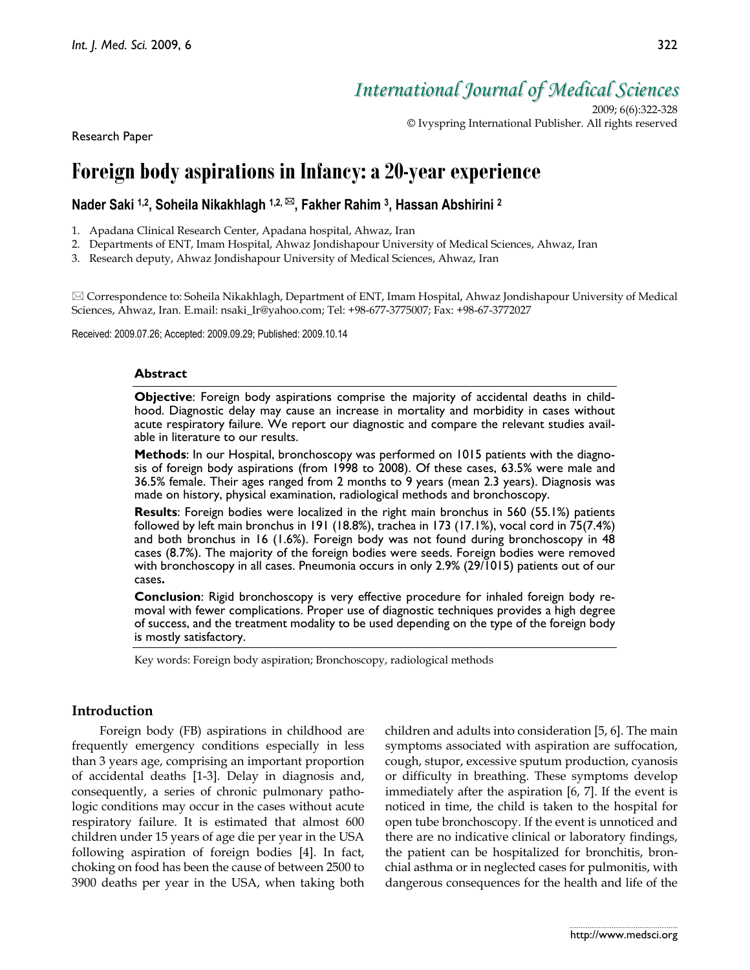# *International Journal of Medical Sciences*

2009; 6(6):322-328 © Ivyspring International Publisher. All rights reserved

Research Paper

## **Foreign body aspirations in Infancy: a 20-year experience**

## Nader Saki <sup>1,2</sup>, Soheila Nikakhlagh <sup>1,2, ⊠</sup>, Fakher Rahim <sup>3</sup>, Hassan Abshirini <sup>2</sup>

1. Apadana Clinical Research Center, Apadana hospital, Ahwaz, Iran

2. Departments of ENT, Imam Hospital, Ahwaz Jondishapour University of Medical Sciences, Ahwaz, Iran

3. Research deputy, Ahwaz Jondishapour University of Medical Sciences, Ahwaz, Iran

 $\boxtimes$  Correspondence to: Soheila Nikakhlagh, Department of ENT, Imam Hospital, Ahwaz Jondishapour University of Medical Sciences, Ahwaz, Iran. E.mail: nsaki\_Ir@yahoo.com; Tel: +98-677-3775007; Fax: +98-67-3772027

Received: 2009.07.26; Accepted: 2009.09.29; Published: 2009.10.14

#### **Abstract**

**Objective**: Foreign body aspirations comprise the majority of accidental deaths in childhood. Diagnostic delay may cause an increase in mortality and morbidity in cases without acute respiratory failure. We report our diagnostic and compare the relevant studies available in literature to our results.

**Methods**: In our Hospital, bronchoscopy was performed on 1015 patients with the diagnosis of foreign body aspirations (from 1998 to 2008). Of these cases, 63.5% were male and 36.5% female. Their ages ranged from 2 months to 9 years (mean 2.3 years). Diagnosis was made on history, physical examination, radiological methods and bronchoscopy.

**Results**: Foreign bodies were localized in the right main bronchus in 560 (55.1%) patients followed by left main bronchus in 191 (18.8%), trachea in 173 (17.1%), vocal cord in 75(7.4%) and both bronchus in 16 (1.6%). Foreign body was not found during bronchoscopy in 48 cases (8.7%). The majority of the foreign bodies were seeds. Foreign bodies were removed with bronchoscopy in all cases. Pneumonia occurs in only 2.9% (29/1015) patients out of our cases**.** 

**Conclusion**: Rigid bronchoscopy is very effective procedure for inhaled foreign body removal with fewer complications. Proper use of diagnostic techniques provides a high degree of success, and the treatment modality to be used depending on the type of the foreign body is mostly satisfactory.

Key words: Foreign body aspiration; Bronchoscopy, radiological methods

## **Introduction**

Foreign body (FB) aspirations in childhood are frequently emergency conditions especially in less than 3 years age, comprising an important proportion of accidental deaths [1-3]. Delay in diagnosis and, consequently, a series of chronic pulmonary pathologic conditions may occur in the cases without acute respiratory failure. It is estimated that almost 600 children under 15 years of age die per year in the USA following aspiration of foreign bodies [4]. In fact, choking on food has been the cause of between 2500 to 3900 deaths per year in the USA, when taking both children and adults into consideration [5, 6]. The main symptoms associated with aspiration are suffocation, cough, stupor, excessive sputum production, cyanosis or difficulty in breathing. These symptoms develop immediately after the aspiration [6, 7]. If the event is noticed in time, the child is taken to the hospital for open tube bronchoscopy. If the event is unnoticed and there are no indicative clinical or laboratory findings, the patient can be hospitalized for bronchitis, bronchial asthma or in neglected cases for pulmonitis, with dangerous consequences for the health and life of the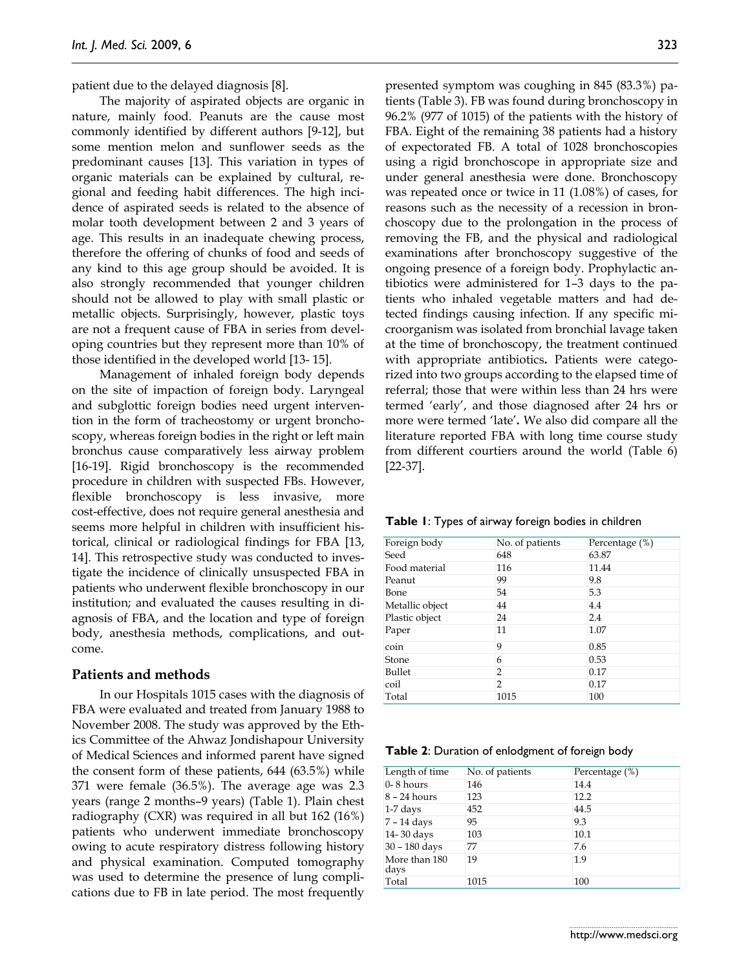patient due to the delayed diagnosis [8].

The majority of aspirated objects are organic in nature, mainly food. Peanuts are the cause most commonly identified by different authors [9-12], but some mention melon and sunflower seeds as the predominant causes [13]. This variation in types of organic materials can be explained by cultural, regional and feeding habit differences. The high incidence of aspirated seeds is related to the absence of molar tooth development between 2 and 3 years of age. This results in an inadequate chewing process, therefore the offering of chunks of food and seeds of any kind to this age group should be avoided. It is also strongly recommended that younger children should not be allowed to play with small plastic or metallic objects. Surprisingly, however, plastic toys are not a frequent cause of FBA in series from developing countries but they represent more than 10% of those identified in the developed world [13- 15].

Management of inhaled foreign body depends on the site of impaction of foreign body. Laryngeal and subglottic foreign bodies need urgent intervention in the form of tracheostomy or urgent bronchoscopy, whereas foreign bodies in the right or left main bronchus cause comparatively less airway problem [16-19]. Rigid bronchoscopy is the recommended procedure in children with suspected FBs. However, flexible bronchoscopy is less invasive, more cost-effective, does not require general anesthesia and seems more helpful in children with insufficient historical, clinical or radiological findings for FBA [13, 14]. This retrospective study was conducted to investigate the incidence of clinically unsuspected FBA in patients who underwent flexible bronchoscopy in our institution; and evaluated the causes resulting in diagnosis of FBA, and the location and type of foreign body, anesthesia methods, complications, and outcome.

#### **Patients and methods**

In our Hospitals 1015 cases with the diagnosis of FBA were evaluated and treated from January 1988 to November 2008. The study was approved by the Ethics Committee of the Ahwaz Jondishapour University of Medical Sciences and informed parent have signed the consent form of these patients, 644 (63.5%) while 371 were female (36.5%). The average age was 2.3 years (range 2 months–9 years) (Table 1). Plain chest radiography (CXR) was required in all but 162 (16%) patients who underwent immediate bronchoscopy owing to acute respiratory distress following history and physical examination. Computed tomography was used to determine the presence of lung complications due to FB in late period. The most frequently presented symptom was coughing in 845 (83.3%) patients (Table 3). FB was found during bronchoscopy in 96.2% (977 of 1015) of the patients with the history of FBA. Eight of the remaining 38 patients had a history of expectorated FB. A total of 1028 bronchoscopies using a rigid bronchoscope in appropriate size and under general anesthesia were done. Bronchoscopy was repeated once or twice in 11 (1.08%) of cases, for reasons such as the necessity of a recession in bronchoscopy due to the prolongation in the process of removing the FB, and the physical and radiological examinations after bronchoscopy suggestive of the ongoing presence of a foreign body. Prophylactic antibiotics were administered for 1–3 days to the patients who inhaled vegetable matters and had detected findings causing infection. If any specific microorganism was isolated from bronchial lavage taken at the time of bronchoscopy, the treatment continued with appropriate antibiotics**.** Patients were categorized into two groups according to the elapsed time of referral; those that were within less than 24 hrs were termed 'early', and those diagnosed after 24 hrs or more were termed 'late'**.** We also did compare all the literature reported FBA with long time course study from different courtiers around the world (Table 6) [22-37].

|  |  |  | Table I: Types of airway foreign bodies in children |  |  |  |  |
|--|--|--|-----------------------------------------------------|--|--|--|--|
|--|--|--|-----------------------------------------------------|--|--|--|--|

| Foreign body    | No. of patients | Percentage (%) |
|-----------------|-----------------|----------------|
| Seed            | 648             | 63.87          |
| Food material   | 116             | 11.44          |
| Peanut          | 99              | 9.8            |
| Bone            | 54              | 5.3            |
| Metallic object | 44              | 4.4            |
| Plastic object  | 24              | 2.4            |
| Paper           | 11              | 1.07           |
| coin            | 9               | 0.85           |
| Stone           | 6               | 0.53           |
| Bullet          | 2               | 0.17           |
| coil            | 2               | 0.17           |
| Total           | 1015            | 100            |

**Table 2**: Duration of enlodgment of foreign body

| Length of time        | No. of patients | Percentage (%) |
|-----------------------|-----------------|----------------|
| $0-8$ hours           | 146             | 14.4           |
| $8 - 24$ hours        | 123             | 12.2           |
| $1-7$ days            | 452             | 44.5           |
| 7 - 14 days           | 95              | 9.3            |
| 14-30 days            | 103             | 10.1           |
| 30 - 180 days         | 77              | 7.6            |
| More than 180<br>days | 19              | 1.9            |
| Total                 | 1015            | 100            |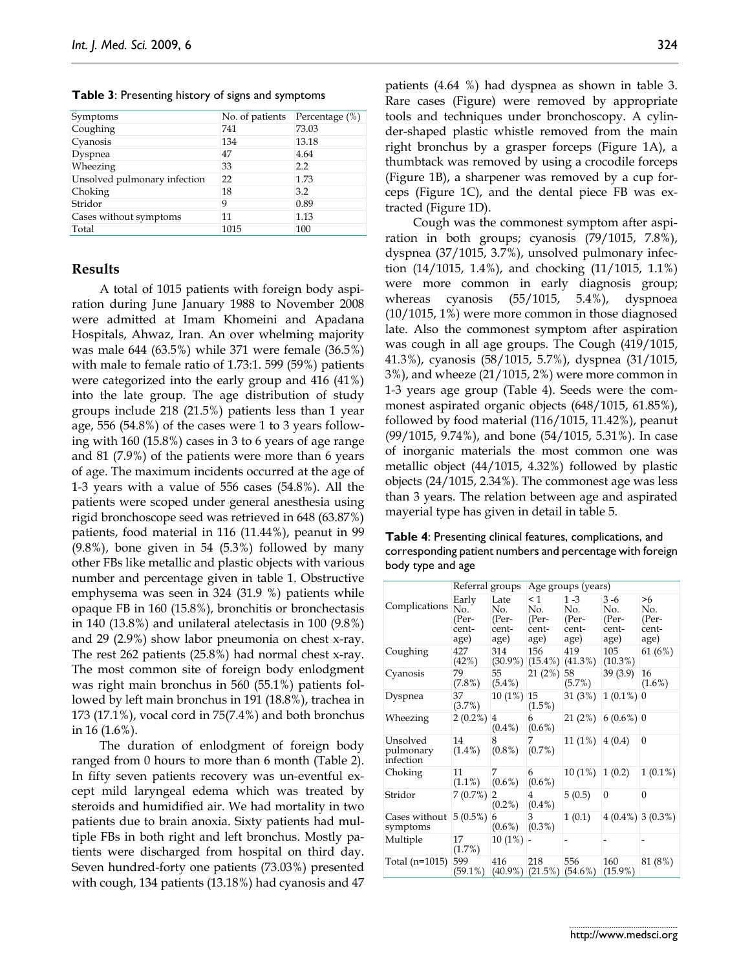Symptoms No. of patients Percentage (%) Coughing 741 73.03 Cyanosis 134 13.18 Dyspnea 47 4.64 Wheezing 33 2.2 Unsolved pulmonary infection 22 1.73

**Table 3**: Presenting history of signs and symptoms

Choking 18 3.2 Stridor 9 0.89 Cases without symptoms 11 1.13 Total 1015 100

## **Results**

A total of 1015 patients with foreign body aspiration during June January 1988 to November 2008 were admitted at Imam Khomeini and Apadana Hospitals, Ahwaz, Iran. An over whelming majority was male 644 (63.5%) while 371 were female (36.5%) with male to female ratio of 1.73:1. 599 (59%) patients were categorized into the early group and 416 (41%) into the late group. The age distribution of study groups include 218 (21.5%) patients less than 1 year age, 556 (54.8%) of the cases were 1 to 3 years following with 160 (15.8%) cases in 3 to 6 years of age range and 81 (7.9%) of the patients were more than 6 years of age. The maximum incidents occurred at the age of 1-3 years with a value of 556 cases (54.8%). All the patients were scoped under general anesthesia using rigid bronchoscope seed was retrieved in 648 (63.87%) patients, food material in 116 (11.44%), peanut in 99 (9.8%), bone given in 54 (5.3%) followed by many other FBs like metallic and plastic objects with various number and percentage given in table 1. Obstructive emphysema was seen in 324 (31.9 %) patients while opaque FB in 160 (15.8%), bronchitis or bronchectasis in 140 (13.8%) and unilateral atelectasis in 100 (9.8%) and 29 (2.9%) show labor pneumonia on chest x-ray. The rest 262 patients (25.8%) had normal chest x-ray. The most common site of foreign body enlodgment was right main bronchus in 560 (55.1%) patients followed by left main bronchus in 191 (18.8%), trachea in 173 (17.1%), vocal cord in 75(7.4%) and both bronchus in 16 (1.6%).

The duration of enlodgment of foreign body ranged from 0 hours to more than 6 month (Table 2). In fifty seven patients recovery was un-eventful except mild laryngeal edema which was treated by steroids and humidified air. We had mortality in two patients due to brain anoxia. Sixty patients had multiple FBs in both right and left bronchus. Mostly patients were discharged from hospital on third day. Seven hundred-forty one patients (73.03%) presented with cough, 134 patients (13.18%) had cyanosis and 47

patients (4.64 %) had dyspnea as shown in table 3. Rare cases (Figure) were removed by appropriate tools and techniques under bronchoscopy. A cylinder-shaped plastic whistle removed from the main right bronchus by a grasper forceps (Figure 1A), a thumbtack was removed by using a crocodile forceps (Figure 1B), a sharpener was removed by a cup forceps (Figure 1C), and the dental piece FB was extracted (Figure 1D).

Cough was the commonest symptom after aspiration in both groups; cyanosis (79/1015, 7.8%), dyspnea (37/1015, 3.7%), unsolved pulmonary infection (14/1015, 1.4%), and chocking (11/1015, 1.1%) were more common in early diagnosis group; whereas cyanosis (55/1015, 5.4%), dyspnoea (10/1015, 1%) were more common in those diagnosed late. Also the commonest symptom after aspiration was cough in all age groups. The Cough (419/1015, 41.3%), cyanosis (58/1015, 5.7%), dyspnea (31/1015, 3%), and wheeze (21/1015, 2%) were more common in 1-3 years age group (Table 4). Seeds were the commonest aspirated organic objects (648/1015, 61.85%), followed by food material (116/1015, 11.42%), peanut (99/1015, 9.74%), and bone (54/1015, 5.31%). In case of inorganic materials the most common one was metallic object (44/1015, 4.32%) followed by plastic objects (24/1015, 2.34%). The commonest age was less than 3 years. The relation between age and aspirated mayerial type has given in detail in table 5.

**Table 4**: Presenting clinical features, complications, and corresponding patient numbers and percentage with foreign body type and age

|                                    | Referral groups                        |                                       | Age groups (years)                        |                                          |                                          |                                     |  |  |
|------------------------------------|----------------------------------------|---------------------------------------|-------------------------------------------|------------------------------------------|------------------------------------------|-------------------------------------|--|--|
| Complications                      | Early<br>No.<br>(Per-<br>cent-<br>age) | Late<br>No.<br>(Per-<br>cent-<br>age) | $\leq$ 1<br>No.<br>(Per-<br>cent-<br>age) | $1 - 3$<br>No.<br>(Per-<br>cent-<br>age) | $3 - 6$<br>No.<br>(Per-<br>cent-<br>age) | >6<br>No.<br>(Per-<br>cent-<br>age) |  |  |
| Coughing                           | 427<br>(42%)                           | 314                                   | 156<br>$(30.9\%) (15.4\%)$                | 419<br>$(41.3\%)$                        | 105<br>$(10.3\%)$                        | 61 (6%)                             |  |  |
| Cyanosis                           | 79<br>$(7.8\%)$                        | 55<br>$(5.4\%)$                       | 21(2%)                                    | 58<br>(5.7%)                             | 39(3.9)                                  | 16<br>$(1.6\%)$                     |  |  |
| Dyspnea                            | 37<br>(3.7%)                           | $10(1\%)$                             | 15<br>$(1.5\%)$                           | 31 (3%)                                  | $1(0.1\%)$ 0                             |                                     |  |  |
| Wheezing                           | $2(0.2\%)$                             | $\overline{4}$<br>$(0.4\%)$           | 6<br>$(0.6\%)$                            | 21(2%)                                   | $6(0.6\%)$ 0                             |                                     |  |  |
| Unsolved<br>pulmonary<br>infection | 14<br>$(1.4\%)$                        | 8<br>$(0.8\%)$                        | 7<br>$(0.7\%)$                            | 11(1%)                                   | 4(0.4)                                   | $\Omega$                            |  |  |
| Choking                            | 11<br>$(1.1\%)$                        | 7<br>$(0.6\%)$                        | 6<br>$(0.6\%)$                            | $10(1\%)$                                | 1(0.2)                                   | $1(0.1\%)$                          |  |  |
| Stridor                            | 7(0.7%)                                | 2<br>$(0.2\%)$                        | 4<br>$(0.4\%)$                            | 5(0.5)                                   | $\boldsymbol{0}$                         | $\mathbf{0}$                        |  |  |
| Cases without<br>symptoms          | $5(0.5\%)$                             | 6<br>$(0.6\%)$                        | 3<br>$(0.3\%)$                            | 1(0.1)                                   | $4(0.4\%)$ 3 (0.3%)                      |                                     |  |  |
| Multiple                           | 17<br>(1.7%)                           | $10(1\%)$                             |                                           |                                          |                                          |                                     |  |  |
| Total (n=1015)                     | 599<br>$(59.1\%)$                      | 416                                   | 218<br>$(40.9\%)$ $(21.5\%)$ $(54.6\%)$   | 556                                      | 160<br>$(15.9\%)$                        | 81 (8%)                             |  |  |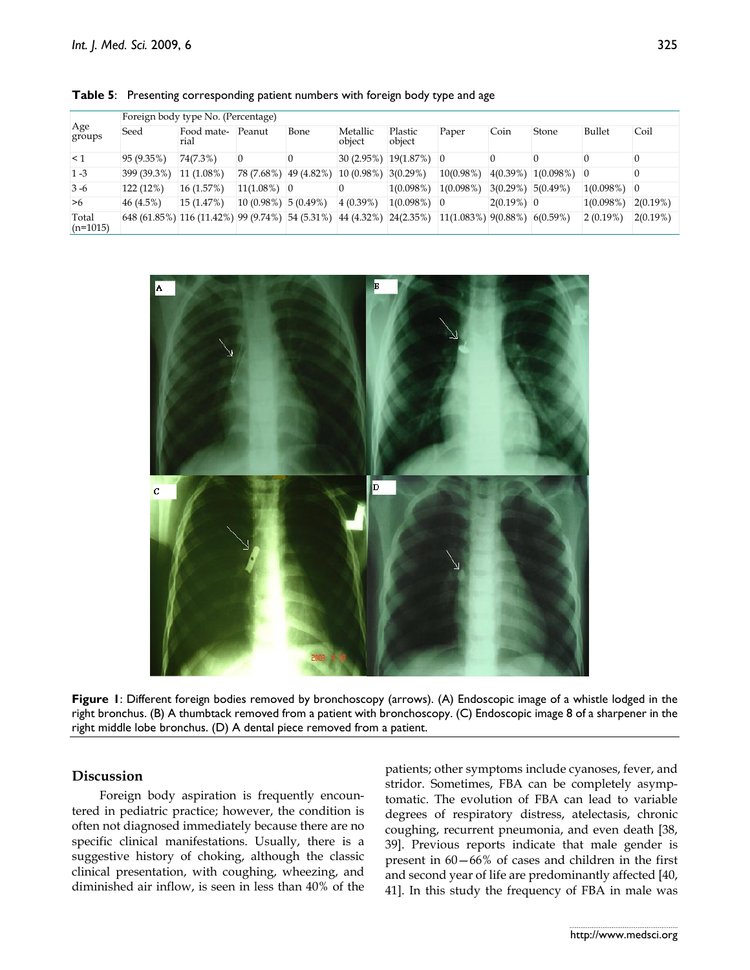| Age<br>groups       | Foreign body type No. (Percentage) |                                                 |                        |      |                       |                            |                                                                                                                          |              |           |              |                |
|---------------------|------------------------------------|-------------------------------------------------|------------------------|------|-----------------------|----------------------------|--------------------------------------------------------------------------------------------------------------------------|--------------|-----------|--------------|----------------|
|                     | Seed                               | Food mate-<br>rial                              | Peanut                 | Bone | Metallic<br>object    | Plastic<br>object          | Paper                                                                                                                    | Coin         | Stone     | Bullet       | Coil           |
| $\leq$ 1            | 95 (9.35%)                         | 74(7.3%)                                        |                        |      |                       | $ 30(2.95\%) 19(1.87\%) 0$ |                                                                                                                          |              |           |              |                |
| $1 - 3$             | 399 (39.3%)                        | $11(1.08\%)$                                    | 78 (7.68%) 49 (4.82%)  |      | $10(0.98\%)$ 3(0.29%) |                            | $10(0.98\%)$                                                                                                             | 4(0.39%)     | 1(0.098%) | $\theta$     |                |
| $3 - 6$             | 122 (12%)                          | 16(1.57%)                                       | $11(1.08\%)$ 0         |      |                       | 1(0.098%)                  | 1(0.098%)                                                                                                                | 3(0.29%)     | 5(0.49%)  | 1(0.098%)    | $\overline{0}$ |
| >6                  | 46(4.5%)                           | 15(1.47%)                                       | $10(0.98\%)$ 5 (0.49%) |      | 4(0.39%)              | $1(0.098%)$ 0              |                                                                                                                          | $2(0.19%)$ 0 |           | $1(0.098\%)$ | 2(0.19%)       |
| Total<br>$(n=1015)$ |                                    | 648 (61.85%) 116 (11.42%) 99 (9.74%) 54 (5.31%) |                        |      |                       |                            | $\vert 44 \vert (4.32\%) \vert 24 \vert (2.35\%) \vert 11 \vert (1.083\%) \vert 9 \vert (0.88\%) \vert 6 \vert (0.59\%)$ |              |           | $ 2(0.19\%)$ | 2(0.19%)       |

**Table 5**: Presenting corresponding patient numbers with foreign body type and age



**Figure 1**: Different foreign bodies removed by bronchoscopy (arrows). (A) Endoscopic image of a whistle lodged in the right bronchus. (B) A thumbtack removed from a patient with bronchoscopy. (C) Endoscopic image 8 of a sharpener in the right middle lobe bronchus. (D) A dental piece removed from a patient.

## **Discussion**

Foreign body aspiration is frequently encountered in pediatric practice; however, the condition is often not diagnosed immediately because there are no specific clinical manifestations. Usually, there is a suggestive history of choking, although the classic clinical presentation, with coughing, wheezing, and diminished air inflow, is seen in less than 40% of the

patients; other symptoms include cyanoses, fever, and stridor. Sometimes, FBA can be completely asymptomatic. The evolution of FBA can lead to variable degrees of respiratory distress, atelectasis, chronic coughing, recurrent pneumonia, and even death [38, 39]. Previous reports indicate that male gender is present in 60—66% of cases and children in the first and second year of life are predominantly affected [40, 41]. In this study the frequency of FBA in male was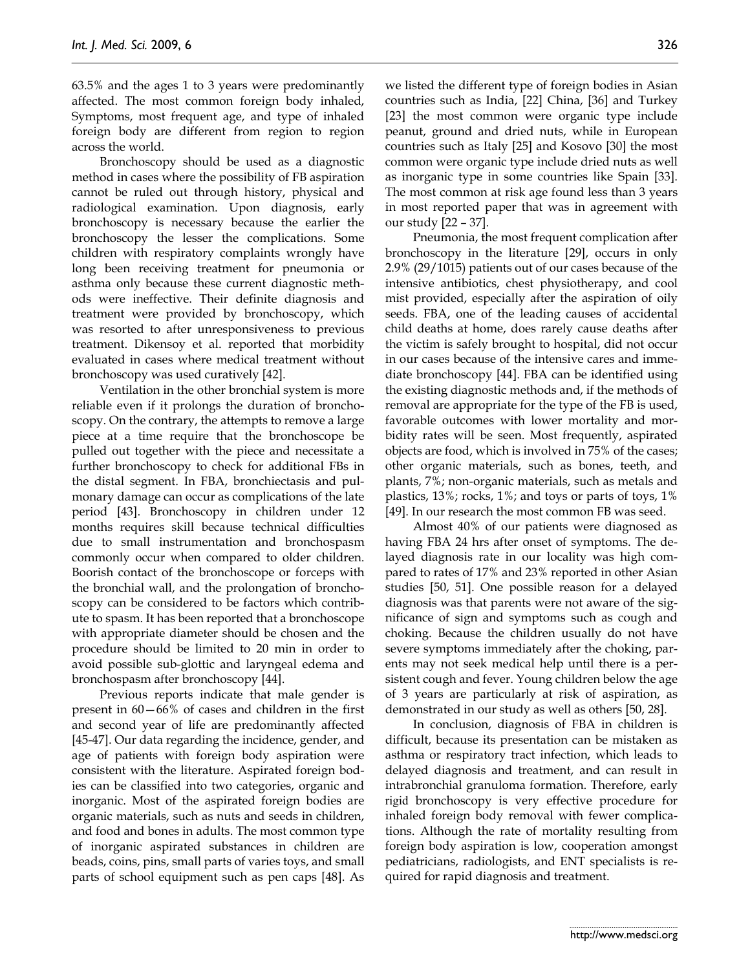63.5% and the ages 1 to 3 years were predominantly affected. The most common foreign body inhaled, Symptoms, most frequent age, and type of inhaled foreign body are different from region to region across the world.

Bronchoscopy should be used as a diagnostic method in cases where the possibility of FB aspiration cannot be ruled out through history, physical and radiological examination. Upon diagnosis, early bronchoscopy is necessary because the earlier the bronchoscopy the lesser the complications. Some children with respiratory complaints wrongly have long been receiving treatment for pneumonia or asthma only because these current diagnostic methods were ineffective. Their definite diagnosis and treatment were provided by bronchoscopy, which was resorted to after unresponsiveness to previous treatment. Dikensoy et al. reported that morbidity evaluated in cases where medical treatment without bronchoscopy was used curatively [42].

Ventilation in the other bronchial system is more reliable even if it prolongs the duration of bronchoscopy. On the contrary, the attempts to remove a large piece at a time require that the bronchoscope be pulled out together with the piece and necessitate a further bronchoscopy to check for additional FBs in the distal segment. In FBA, bronchiectasis and pulmonary damage can occur as complications of the late period [43]. Bronchoscopy in children under 12 months requires skill because technical difficulties due to small instrumentation and bronchospasm commonly occur when compared to older children. Boorish contact of the bronchoscope or forceps with the bronchial wall, and the prolongation of bronchoscopy can be considered to be factors which contribute to spasm. It has been reported that a bronchoscope with appropriate diameter should be chosen and the procedure should be limited to 20 min in order to avoid possible sub-glottic and laryngeal edema and bronchospasm after bronchoscopy [44].

Previous reports indicate that male gender is present in 60—66% of cases and children in the first and second year of life are predominantly affected [45-47]. Our data regarding the incidence, gender, and age of patients with foreign body aspiration were consistent with the literature. Aspirated foreign bodies can be classified into two categories, organic and inorganic. Most of the aspirated foreign bodies are organic materials, such as nuts and seeds in children, and food and bones in adults. The most common type of inorganic aspirated substances in children are beads, coins, pins, small parts of varies toys, and small parts of school equipment such as pen caps [48]. As

we listed the different type of foreign bodies in Asian countries such as India, [22] China, [36] and Turkey [23] the most common were organic type include peanut, ground and dried nuts, while in European countries such as Italy [25] and Kosovo [30] the most common were organic type include dried nuts as well as inorganic type in some countries like Spain [33]. The most common at risk age found less than 3 years in most reported paper that was in agreement with our study [22 – 37].

Pneumonia, the most frequent complication after bronchoscopy in the literature [29], occurs in only 2.9% (29/1015) patients out of our cases because of the intensive antibiotics, chest physiotherapy, and cool mist provided, especially after the aspiration of oily seeds. FBA, one of the leading causes of accidental child deaths at home, does rarely cause deaths after the victim is safely brought to hospital, did not occur in our cases because of the intensive cares and immediate bronchoscopy [44]. FBA can be identified using the existing diagnostic methods and, if the methods of removal are appropriate for the type of the FB is used, favorable outcomes with lower mortality and morbidity rates will be seen. Most frequently, aspirated objects are food, which is involved in 75% of the cases; other organic materials, such as bones, teeth, and plants, 7%; non-organic materials, such as metals and plastics, 13%; rocks, 1%; and toys or parts of toys, 1% [49]. In our research the most common FB was seed.

Almost 40% of our patients were diagnosed as having FBA 24 hrs after onset of symptoms. The delayed diagnosis rate in our locality was high compared to rates of 17% and 23% reported in other Asian studies [50, 51]. One possible reason for a delayed diagnosis was that parents were not aware of the significance of sign and symptoms such as cough and choking. Because the children usually do not have severe symptoms immediately after the choking, parents may not seek medical help until there is a persistent cough and fever. Young children below the age of 3 years are particularly at risk of aspiration, as demonstrated in our study as well as others [50, 28].

In conclusion, diagnosis of FBA in children is difficult, because its presentation can be mistaken as asthma or respiratory tract infection, which leads to delayed diagnosis and treatment, and can result in intrabronchial granuloma formation. Therefore, early rigid bronchoscopy is very effective procedure for inhaled foreign body removal with fewer complications. Although the rate of mortality resulting from foreign body aspiration is low, cooperation amongst pediatricians, radiologists, and ENT specialists is required for rapid diagnosis and treatment.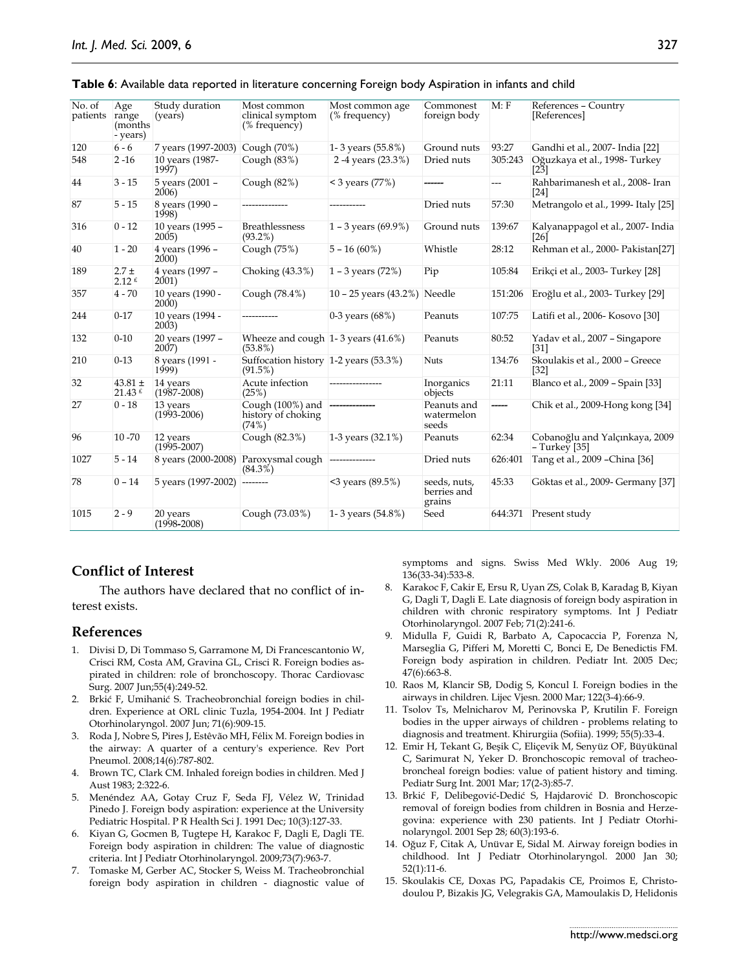| No. of<br>patients | Age<br>range<br>(months)<br>- years)       | Study duration<br>(years)            | Most common<br>clinical symptom<br>(% frequency)                  | Most common age<br>(% frequency) | Commonest<br>foreign body             | M: F    | References - Country<br>[References]               |
|--------------------|--------------------------------------------|--------------------------------------|-------------------------------------------------------------------|----------------------------------|---------------------------------------|---------|----------------------------------------------------|
| 120                | $6 - 6$                                    | 7 years (1997-2003)                  | Cough (70%)                                                       | 1-3 years (55.8%)                | Ground nuts                           | 93:27   | Gandhi et al., 2007- India [22]                    |
| 548                | $2 - 16$                                   | 10 years (1987-<br>1997)             | Cough $(83%)$                                                     | 2-4 years (23.3%)                | Dried nuts                            | 305:243 | Oğuzkaya et al., 1998- Turkey<br>$\left[23\right]$ |
| 44                 | $3 - 15$                                   | 5 years (2001 -<br>2006)             | Cough $(82%)$                                                     | $<$ 3 years (77%)                |                                       | ---     | Rahbarimanesh et al., 2008- Iran<br>[24]           |
| 87                 | $5 - 15$                                   | 8 years (1990 -<br>1998)             | --------------                                                    | -----------                      | Dried nuts                            | 57:30   | Metrangolo et al., 1999- Italy [25]                |
| 316                | $0 - 12$                                   | 10 years (1995 -<br>2005)            | <b>Breathlessness</b><br>$(93.2\%)$                               | 1 - 3 years $(69.9\%)$           | Ground nuts                           | 139:67  | Kalyanappagol et al., 2007- India<br>[26]          |
| 40                 | $1 - 20$                                   | 4 years (1996 -<br><b>2000</b> )     | Cough (75%)                                                       | $5 - 16(60\%)$                   | Whistle                               | 28:12   | Rehman et al., 2000- Pakistan <sup>[27]</sup>      |
| 189                | $2.7 +$<br>$2.12$ f                        | 4 years (1997 -<br>2001)             | Choking (43.3%)                                                   | 1 - 3 years $(72%)$              | Pip                                   | 105:84  | Erikçi et al., 2003- Turkey [28]                   |
| 357                | $4 - 70$                                   | 10 years (1990 -<br>200 <sub>0</sub> | Cough (78.4%)                                                     | 10 - 25 years $(43.2%)$          | Needle                                | 151:206 | Eroğlu et al., 2003- Turkey [29]                   |
| 244                | $0 - 17$                                   | 10 years (1994 -<br>2003)            | -----------                                                       | 0-3 years $(68%)$                | Peanuts                               | 107:75  | Latifi et al., 2006- Kosovo [30]                   |
| 132                | $0 - 10$                                   | 20 years (1997 -<br>2007)            | Wheeze and cough $1-3$ years (41.6%)<br>$(53.8\%)$                |                                  | Peanuts                               | 80:52   | Yadav et al., 2007 - Singapore<br>$[31]$           |
| 210                | $0-13$                                     | 8 years (1991 -<br>1999              | Suffocation history 1-2 years (53.3%)<br>(91.5%)                  |                                  | <b>Nuts</b>                           | 134:76  | Skoulakis et al., 2000 - Greece<br>$[32]$          |
| 32                 | $43.81 \pm$<br>$21.43 \text{ }^{\epsilon}$ | 14 years<br>$(1987 - 2008)$          | Acute infection<br>(25%)                                          | ----------------                 | Inorganics<br>objects                 | 21:11   | Blanco et al., 2009 - Spain [33]                   |
| 27                 | $0 - 18$                                   | 13 years<br>$(1993 - 2006)$          | Cough (100%) and<br>history of choking<br>(74%)                   |                                  | Peanuts and<br>watermelon<br>seeds    | -----   | Chik et al., 2009-Hong kong [34]                   |
| 96                 | $10 - 70$                                  | 12 years<br>$(1995 - 2007)$          | Cough (82.3%)                                                     | 1-3 years (32.1%)                | Peanuts                               | 62:34   | Cobanoğlu and Yalçınkaya, 2009<br>$-$ Turkey [35]  |
| 1027               | $5 - 14$                                   |                                      | 8 years (2000-2008) Paroxysmal cough --------------<br>$(84.3\%)$ |                                  | Dried nuts                            | 626:401 | Tang et al., 2009 - China [36]                     |
| 78                 | $0 - 14$                                   | 5 years (1997-2002)                  | --------                                                          | <3 years (89.5%)                 | seeds, nuts,<br>berries and<br>grains | 45:33   | Göktas et al., 2009- Germany [37]                  |
| 1015               | $2 - 9$                                    | 20 years<br>$(1998 - 2008)$          | Cough (73.03%)                                                    | 1-3 years (54.8%)                | Seed                                  | 644:371 | Present study                                      |

| Table 6: Available data reported in literature concerning Foreign body Aspiration in infants and child |  |  |
|--------------------------------------------------------------------------------------------------------|--|--|
|                                                                                                        |  |  |

## **Conflict of Interest**

The authors have declared that no conflict of interest exists.

### **References**

- 1. Divisi D, Di Tommaso S, Garramone M, Di Francescantonio W, Crisci RM, Costa AM, Gravina GL, Crisci R. Foreign bodies aspirated in children: role of bronchoscopy. Thorac Cardiovasc Surg. 2007 Jun;55(4):249-52.
- 2. Brkić F, Umihanić S. Tracheobronchial foreign bodies in children. Experience at ORL clinic Tuzla, 1954-2004. Int J Pediatr Otorhinolaryngol. 2007 Jun; 71(6):909-15.
- 3. Roda J, Nobre S, Pires J, Estêvão MH, Félix M. Foreign bodies in the airway: A quarter of a century's experience. Rev Port Pneumol. 2008;14(6):787-802.
- 4. Brown TC, Clark CM. Inhaled foreign bodies in children. Med J Aust 1983; 2:322-6.
- 5. Menéndez AA, Gotay Cruz F, Seda FJ, Vélez W, Trinidad Pinedo J. Foreign body aspiration: experience at the University Pediatric Hospital. P R Health Sci J. 1991 Dec; 10(3):127-33.
- 6. Kiyan G, Gocmen B, Tugtepe H, Karakoc F, Dagli E, Dagli TE. Foreign body aspiration in children: The value of diagnostic criteria. Int J Pediatr Otorhinolaryngol. 2009;73(7):963-7.
- 7. Tomaske M, Gerber AC, Stocker S, Weiss M. Tracheobronchial foreign body aspiration in children - diagnostic value of

symptoms and signs. Swiss Med Wkly. 2006 Aug 19; 136(33-34):533-8.

- 8. Karakoc F, Cakir E, Ersu R, Uyan ZS, Colak B, Karadag B, Kiyan G, Dagli T, Dagli E. Late diagnosis of foreign body aspiration in children with chronic respiratory symptoms. Int J Pediatr Otorhinolaryngol. 2007 Feb; 71(2):241-6.
- 9. Midulla F, Guidi R, Barbato A, Capocaccia P, Forenza N, Marseglia G, Pifferi M, Moretti C, Bonci E, De Benedictis FM. Foreign body aspiration in children. Pediatr Int. 2005 Dec; 47(6):663-8.
- 10. Raos M, Klancir SB, Dodig S, Koncul I. Foreign bodies in the airways in children. Lijec Vjesn. 2000 Mar; 122(3-4):66-9.
- 11. Tsolov Ts, Melnicharov M, Perinovska P, Krutilin F. Foreign bodies in the upper airways of children - problems relating to diagnosis and treatment. Khirurgiia (Sofiia). 1999; 55(5):33-4.
- 12. Emir H, Tekant G, Beşik C, Eliçevik M, Senyüz OF, Büyükünal C, Sarimurat N, Yeker D. Bronchoscopic removal of tracheobroncheal foreign bodies: value of patient history and timing. Pediatr Surg Int. 2001 Mar; 17(2-3):85-7.
- 13. Brkić F, Delibegović-Dedić S, Hajdarović D. Bronchoscopic removal of foreign bodies from children in Bosnia and Herzegovina: experience with 230 patients. Int J Pediatr Otorhinolaryngol. 2001 Sep 28; 60(3):193-6.
- 14. Oğuz F, Citak A, Unüvar E, Sidal M. Airway foreign bodies in childhood. Int J Pediatr Otorhinolaryngol. 2000 Jan 30; 52(1):11-6.
- 15. Skoulakis CE, Doxas PG, Papadakis CE, Proimos E, Christodoulou P, Bizakis JG, Velegrakis GA, Mamoulakis D, Helidonis